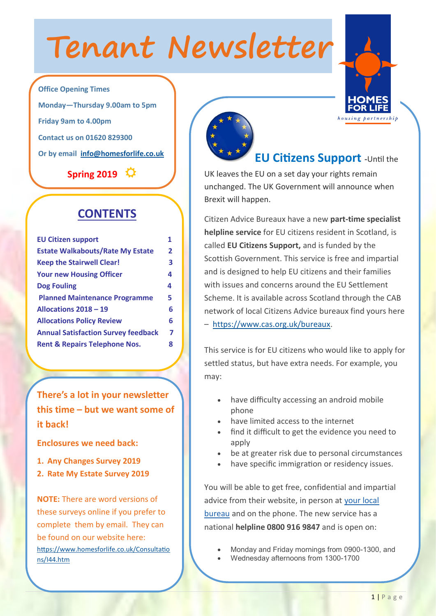# **Tenant Newsletter**



**Office Opening Times Monday—Thursday 9.00am to 5pm Friday 9am to 4.00pm Contact us on 01620 829300 Or by email [info@homesforlife.co.uk](mailto:info@homesforlife.co.uk)**

**Spring 2019** 

### **CONTENTS**

| <b>EU Citizen support</b>                  | 1              |
|--------------------------------------------|----------------|
| <b>Estate Walkabouts/Rate My Estate</b>    | $\overline{2}$ |
| <b>Keep the Stairwell Clear!</b>           | 3              |
| <b>Your new Housing Officer</b>            | 4              |
| <b>Dog Fouling</b>                         | 4              |
| <b>Planned Maintenance Programme</b>       | 5              |
| Allocations 2018 - 19                      | 6              |
| <b>Allocations Policy Review</b>           | 6              |
| <b>Annual Satisfaction Survey feedback</b> | 7              |
| <b>Rent &amp; Repairs Telephone Nos.</b>   | 8              |
|                                            |                |

**There's a lot in your newsletter this time – but we want some of it back!** 

**Enclosures we need back:**

- **1. Any Changes Survey 2019**
- **2. Rate My Estate Survey 2019**

**NOTE:** There are word versions of these surveys online if you prefer to complete them by email. They can be found on our website here: [https://www.homesforlife.co.uk/Consultatio](https://www.homesforlife.co.uk/Consultations/I44.htm) [ns/I44.htm](https://www.homesforlife.co.uk/Consultations/I44.htm)



**EU Citizens Support -**Until the

UK leaves the EU on a set day your rights remain unchanged. The UK Government will announce when Brexit will happen.

Citizen Advice Bureaux have a new **part-time specialist helpline service** for EU citizens resident in Scotland, is called **EU Citizens Support,** and is funded by the Scottish Government. This service is free and impartial and is designed to help EU citizens and their families with issues and concerns around the EU Settlement Scheme. It is available across Scotland through the CAB network of local Citizens Advice bureaux find yours here – [https://www.cas.org.uk/bureaux.](https://www.cas.org.uk/bureaux)

This service is for EU citizens who would like to apply for settled status, but have extra needs. For example, you may:

- have difficulty accessing an android mobile phone
- have limited access to the internet
- find it difficult to get the evidence you need to apply
- be at greater risk due to personal circumstances
- have specific immigration or residency issues.

You will be able to get free, confidential and impartial advice from their website, in person at [your local](https://www.cas.org.uk/bureaux)  [bureau](https://www.cas.org.uk/bureaux) and on the phone. The new service has a national **helpline 0800 916 9847** and is open on:

- Monday and Friday mornings from 0900-1300, and
- Wednesday afternoons from 1300-1700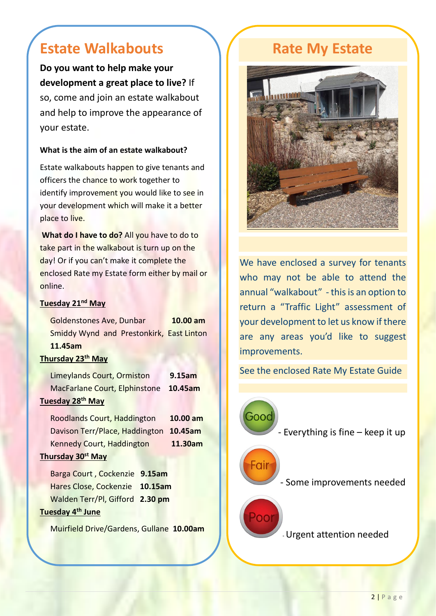# **Estate Walkabouts**

**Do you want to help make your development a great place to live?** If so, come and join an estate walkabout and help to improve the appearance of your estate.

### **What is the aim of an estate walkabout?**

Estate walkabouts happen to give tenants and officers the chance to work together to identify improvement you would like to see in your development which will make it a better place to live.

**What do I have to do?** All you have to do to take part in the walkabout is turn up on the day! Or if you can't make it complete the enclosed Rate my Estate form either by mail or online.

### **Tuesday 21nd May**

|                               | Goldenstones Ave, Dunbar                 | $10.00$ am |  |  |  |  |  |
|-------------------------------|------------------------------------------|------------|--|--|--|--|--|
|                               | Smiddy Wynd and Prestonkirk, East Linton |            |  |  |  |  |  |
|                               | 11.45am                                  |            |  |  |  |  |  |
| Thursday 23 <sup>th</sup> May |                                          |            |  |  |  |  |  |
|                               | Limeylands Court, Ormiston               | 9.15am     |  |  |  |  |  |
|                               | MacFarlane Court, Elphinstone            | 10.45am    |  |  |  |  |  |
| Tuesday 28 <sup>th</sup> May  |                                          |            |  |  |  |  |  |
|                               | Roodlands Court, Haddington              | 10.00 am   |  |  |  |  |  |

Davison Terr/Place, Haddington **10.45am** Kennedy Court, Haddington **11.30am**

### **Thursday 30st May**

Barga Court , Cockenzie **9.15am** Hares Close, Cockenzie **10.15am** Walden Terr/Pl, Gifford **2.30 pm Tuesday 4th June** 

Muirfield Drive/Gardens, Gullane **10.00am**

## **Rate My Estate**



We have enclosed a survey for tenants who may not be able to attend the annual "walkabout" - this is an option to return a "Traffic Light" assessment of your development to let us know if there are any areas you'd like to suggest improvements.

See the enclosed Rate My Estate Guide

- Everything is fine – keep it up

Fair

Good

- Some improvements needed

-Urgent attention needed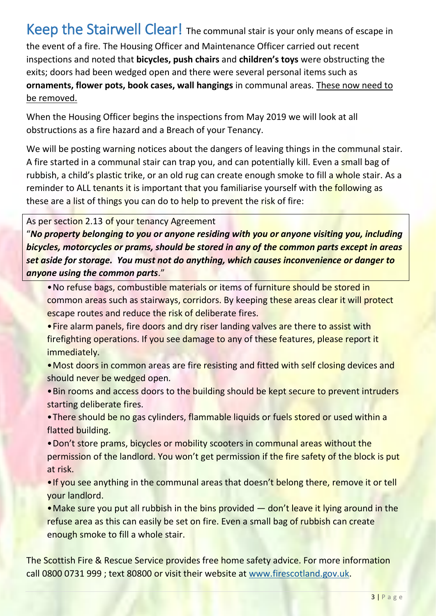### Keep the Stairwell Clear! The communal stair is your only means of escape in the event of a fire. The Housing Officer and Maintenance Officer carried out recent inspections and noted that **bicycles, push chairs** and **children's toys** were obstructing the exits; doors had been wedged open and there were several personal items such as **ornaments, flower pots, book cases, wall hangings** in communal areas. These now need to be removed.

When the Housing Officer begins the inspections from May 2019 we will look at all obstructions as a fire hazard and a Breach of your Tenancy.

We will be posting warning notices about the dangers of leaving things in the communal stair. A fire started in a communal stair can trap you, and can potentially kill. Even a small bag of rubbish, a child's plastic trike, or an old rug can create enough smoke to fill a whole stair. As a reminder to ALL tenants it is important that you familiarise yourself with the following as these are a list of things you can do to help to prevent the risk of fire:

As per section 2.13 of your tenancy Agreement

"*No property belonging to you or anyone residing with you or anyone visiting you, including bicycles, motorcycles or prams, should be stored in any of the common parts except in areas set aside for storage. You must not do anything, which causes inconvenience or danger to anyone using the common parts*."

- •No refuse bags, combustible materials or items of furniture should be stored in common areas such as stairways, corridors. By keeping these areas clear it will protect escape routes and reduce the risk of deliberate fires.
- Fire alarm panels, fire doors and dry riser landing valves are there to assist with firefighting operations. If you see damage to any of these features, please report it immediately.
- Most doors in common areas are fire resisting and fitted with self closing devices and should never be wedged open.
- •Bin rooms and access doors to the building should be kept secure to prevent intruders starting deliberate fires.
- There should be no gas cylinders, flammable liquids or fuels stored or used within a flatted building.
- •Don't store prams, bicycles or mobility scooters in communal areas without the permission of the landlord. You won't get permission if the fire safety of the block is put at risk.
- If you see anything in the communal areas that doesn't belong there, remove it or tell your landlord.
- Make sure you put all rubbish in the bins provided don't leave it lying around in the refuse area as this can easily be set on fire. Even a small bag of rubbish can create enough smoke to fill a whole stair.

The Scottish Fire & Rescue Service provides free home safety advice. For more information call 0800 0731 999 ; text 80800 or visit their website at [www.firescotland.gov.uk.](http://www.firescotland.gov.uk/)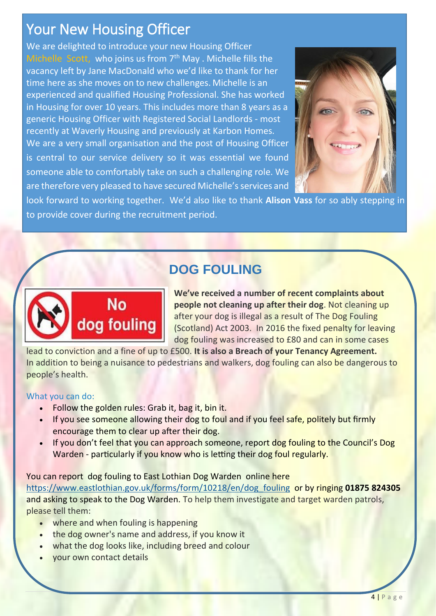# Your New Housing Officer

We are delighted to introduce your new Housing Officer Michelle Scott, who joins us from  $7<sup>th</sup>$  May . Michelle fills the vacancy left by Jane MacDonald who we'd like to thank for her time here as she moves on to new challenges. Michelle is an experienced and qualified Housing Professional. She has worked in Housing for over 10 years. This includes more than 8 years as a generic Housing Officer with Registered Social Landlords - most recently at Waverly Housing and previously at Karbon Homes. We are a very small organisation and the post of Housing Officer is central to our service delivery so it was essential we found someone able to comfortably take on such a challenging role. We are therefore very pleased to have secured Michelle's services and



look forward to working together. We'd also like to thank **Alison Vass** for so ably stepping in to provide cover during the recruitment period.

## **DOG FOULING**



**We've received a number of recent complaints about people not cleaning up after their dog**. Not cleaning up after your dog is illegal as a result of The Dog Fouling (Scotland) Act 2003. In 2016 the fixed penalty for leaving dog fouling was increased to £80 and can in some cases

lead to conviction and a fine of up to £500. **It is also a Breach of your Tenancy Agreement.** In addition to being a nuisance to pedestrians and walkers, dog fouling can also be dangerous to people's health.

### What you can do:

- Follow the golden rules: Grab it, bag it, bin it.
- **If you see someone allowing their dog to foul and if you feel safe, politely but firmly** encourage them to clear up after their dog.
- If you don't feel that you can approach someone, report dog fouling to the Council's Dog Warden - particularly if you know who is letting their dog foul regularly.

### You can report dog fouling to East Lothian Dog Warden online here

[https://www.eastlothian.gov.uk/forms/form/10218/en/dog\\_fouling](https://www.eastlothian.gov.uk/forms/form/10218/en/dog_fouling) or by ringing **01875 824305** and asking to speak to the Dog Warden. To help them investigate and target warden patrols, please tell them:

- where and when fouling is happening
- the dog owner's name and address, if you know it
- what the dog looks like, including breed and colour
- your own contact details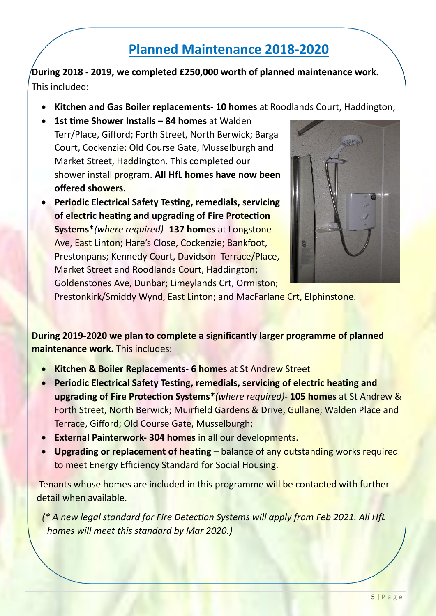# **Planned Maintenance 2018-2020**

**During 2018 - 2019, we completed £250,000 worth of planned maintenance work.**  This included:

- **Kitchen and Gas Boiler replacements- 10 homes** at Roodlands Court, Haddington;
- **1st time Shower Installs – 84 homes** at Walden Terr/Place, Gifford; Forth Street, North Berwick; Barga Court, Cockenzie: Old Course Gate, Musselburgh and Market Street, Haddington. This completed our shower install program. **All HfL homes have now been offered showers.**
- **Periodic Electrical Safety Testing, remedials, servicing of electric heating and upgrading of Fire Protection Systems\****(where required)*- **137 homes** at Longstone Ave, East Linton; Hare's Close, Cockenzie; Bankfoot, Prestonpans; Kennedy Court, Davidson Terrace/Place, Market Street and Roodlands Court, Haddington; Goldenstones Ave, Dunbar; Limeylands Crt, Ormiston;



Prestonkirk/Smiddy Wynd, East Linton; and MacFarlane Crt, Elphinstone.

**During 2019-2020 we plan to complete a significantly larger programme of planned maintenance work.** This includes:

- **Kitchen & Boiler Replacements 6 homes** at St Andrew Street
- **Periodic Electrical Safety Testing, remedials, servicing of electric heating and upgrading of Fire Protection Systems\****(where required)*- **105 homes** at St Andrew & Forth Street, North Berwick; Muirfield Gardens & Drive, Gullane; Walden Place and Terrace, Gifford; Old Course Gate, Musselburgh;
- **External Painterwork- 304 homes** in all our developments.
- **Upgrading or replacement of heating** balance of any outstanding works required to meet Energy Efficiency Standard for Social Housing.

Tenants whose homes are included in this programme will be contacted with further detail when available.

*(\* A new legal standard for Fire Detection Systems will apply from Feb 2021. All HfL homes will meet this standard by Mar 2020.)*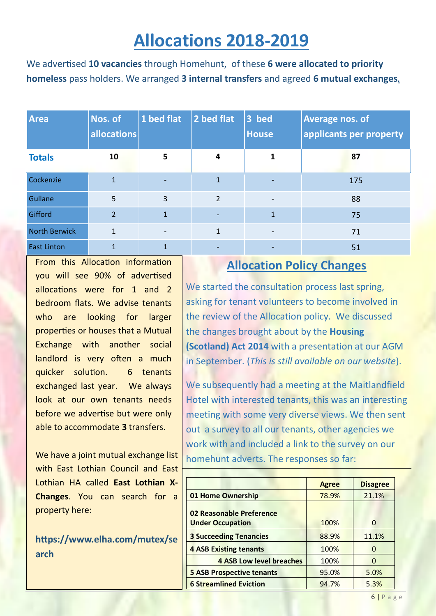# **Allocations 2018-2019**

We advertised **10 vacancies** through Homehunt, of these **6 were allocated to priority homeless** pass holders. We arranged **3 internal transfers** and agreed **6 mutual exchanges.**

| <b>Area</b>          | Nos. of<br>allocations | 1 bed flat               | 2 bed flat               | 3 bed<br><b>House</b> | <b>Average nos. of</b><br>applicants per property |
|----------------------|------------------------|--------------------------|--------------------------|-----------------------|---------------------------------------------------|
| <b>Totals</b>        | 10                     | 5                        | 4                        | 1                     | 87                                                |
| Cockenzie            | $\mathbf{1}$           | $\overline{\phantom{0}}$ | $\mathbf{1}$             |                       | 175                                               |
| Gullane              | 5                      | $\overline{3}$           | $\overline{2}$           |                       | 88                                                |
| Gifford              | $\overline{2}$         | $\mathbf{1}$             | $\overline{\phantom{a}}$ | 1                     | 75                                                |
| <b>North Berwick</b> | $\mathbf{1}$           |                          | $\mathbf{1}$             |                       | 71                                                |
| <b>East Linton</b>   | 1                      | $\mathbf{1}$             |                          |                       | 51                                                |

From this Allocation information you will see 90% of advertised allocations were for 1 and 2 bedroom flats. We advise tenants who are looking for larger properties or houses that a Mutual Exchange with another social landlord is very often a much quicker solution. 6 tenants exchanged last year. We always look at our own tenants needs before we advertise but were only able to accommodate **3** transfers.

We have a joint mutual exchange list with East Lothian Council and East Lothian HA called **East Lothian X-Changes**. You can search for a property here:

**https://www.elha.com/mutex/se arch**

### **Allocation Policy Changes**

We started the consultation process last spring, asking for tenant volunteers to become involved in the review of the Allocation policy. We discussed the changes brought about by the **Housing (Scotland) Act 2014** with a presentation at our AGM in September. (*This is still available on our website*).

We subsequently had a meeting at the Maitlandfield Hotel with interested tenants, this was an interesting meeting with some very diverse views. We then sent out a survey to all our tenants, other agencies we work with and included a link to the survey on our homehunt adverts. The responses so far:

|                                  | <b>Agree</b> | <b>Disagree</b> |
|----------------------------------|--------------|-----------------|
| 01 Home Ownership                | 78.9%        | 21.1%           |
| 02 Reasonable Preference         |              |                 |
| <b>Under Occupation</b>          | 100%         | O               |
| <b>3 Succeeding Tenancies</b>    | 88.9%        | 11.1%           |
| <b>4 ASB Existing tenants</b>    | 100%         | 0               |
| <b>4 ASB Low level breaches</b>  | 100%         | O               |
| <b>5 ASB Prospective tenants</b> | 95.0%        | 5.0%            |
| <b>6 Streamlined Eviction</b>    | 94.7%        | 5.3%            |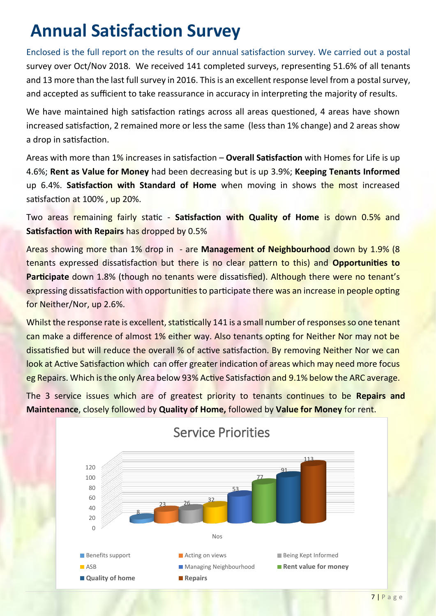# **Annual Satisfaction Survey**

Enclosed is the full report on the results of our annual satisfaction survey. We carried out a postal survey over Oct/Nov 2018. We received 141 completed surveys, representing 51.6% of all tenants and 13 more than the last full survey in 2016. This is an excellent response level from a postal survey, and accepted as sufficient to take reassurance in accuracy in interpreting the majority of results.

We have maintained high satisfaction ratings across all areas questioned, 4 areas have shown increased satisfaction, 2 remained more or less the same (less than 1% change) and 2 areas show a drop in satisfaction.

Areas with more than 1% increases in satisfaction – **Overall Satisfaction** with Homes for Life is up 4.6%; **Rent as Value for Money** had been decreasing but is up 3.9%; **Keeping Tenants Informed** up 6.4%. **Satisfaction with Standard of Home** when moving in shows the most increased satisfaction at 100% , up 20%.

Two areas remaining fairly static - **Satisfaction with Quality of Home** is down 0.5% and **Satisfaction with Repairs** has dropped by 0.5%

Areas showing more than 1% drop in - are **Management of Neighbourhood** down by 1.9% (8 tenants expressed dissatisfaction but there is no clear pattern to this) and **Opportunities to Participate** down 1.8% (though no tenants were dissatisfied). Although there were no tenant's expressing dissatisfaction with opportunities to participate there was an increase in people opting for Neither/Nor, up 2.6%.

Whilst the response rate is excellent, statistically 141 is a small number of responses so one tenant can make a difference of almost 1% either way. Also tenants opting for Neither Nor may not be dissatisfied but will reduce the overall % of active satisfaction. By removing Neither Nor we can look at Active Satisfaction which can offer greater indication of areas which may need more focus eg Repairs. Which is the only Area below 93% Active Satisfaction and 9.1% below the ARC average.

The 3 service issues which are of greatest priority to tenants continues to be **Repairs and Maintenance**, closely followed by **Quality of Home,** followed by **Value for Money** for rent.



### Service Priorities